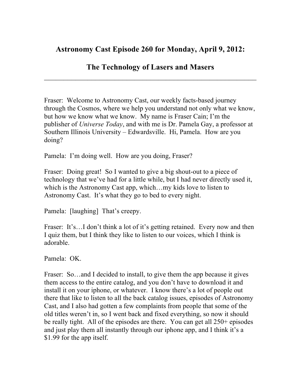## **Astronomy Cast Episode 260 for Monday, April 9, 2012:**

## **The Technology of Lasers and Masers**  $\_$

Fraser: Welcome to Astronomy Cast, our weekly facts-based journey through the Cosmos, where we help you understand not only what we know, but how we know what we know. My name is Fraser Cain; I'm the publisher of *Universe Today*, and with me is Dr. Pamela Gay, a professor at Southern Illinois University – Edwardsville. Hi, Pamela. How are you doing?

Pamela: I'm doing well. How are you doing, Fraser?

Fraser: Doing great! So I wanted to give a big shout-out to a piece of technology that we've had for a little while, but I had never directly used it, which is the Astronomy Cast app, which…my kids love to listen to Astronomy Cast. It's what they go to bed to every night.

Pamela: [laughing] That's creepy.

Fraser: It's...I don't think a lot of it's getting retained. Every now and then I quiz them, but I think they like to listen to our voices, which I think is adorable.

Pamela: OK.

Fraser: So…and I decided to install, to give them the app because it gives them access to the entire catalog, and you don't have to download it and install it on your iphone, or whatever. I know there's a lot of people out there that like to listen to all the back catalog issues, episodes of Astronomy Cast, and I also had gotten a few complaints from people that some of the old titles weren't in, so I went back and fixed everything, so now it should be really tight. All of the episodes are there. You can get all 250+ episodes and just play them all instantly through our iphone app, and I think it's a \$1.99 for the app itself.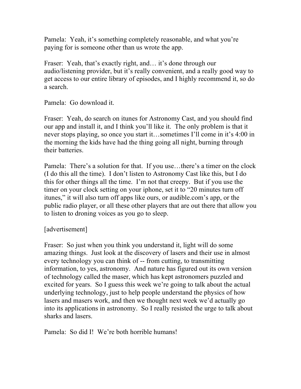Pamela: Yeah, it's something completely reasonable, and what you're paying for is someone other than us wrote the app.

Fraser: Yeah, that's exactly right, and... it's done through our audio/listening provider, but it's really convenient, and a really good way to get access to our entire library of episodes, and I highly recommend it, so do a search.

Pamela: Go download it.

Fraser: Yeah, do search on itunes for Astronomy Cast, and you should find our app and install it, and I think you'll like it. The only problem is that it never stops playing, so once you start it…sometimes I'll come in it's 4:00 in the morning the kids have had the thing going all night, burning through their batteries.

Pamela: There's a solution for that. If you use…there's a timer on the clock (I do this all the time). I don't listen to Astronomy Cast like this, but I do this for other things all the time. I'm not that creepy. But if you use the timer on your clock setting on your iphone, set it to "20 minutes turn off itunes," it will also turn off apps like ours, or audible.com's app, or the public radio player, or all these other players that are out there that allow you to listen to droning voices as you go to sleep.

## [advertisement]

Fraser: So just when you think you understand it, light will do some amazing things. Just look at the discovery of lasers and their use in almost every technology you can think of -- from cutting, to transmitting information, to yes, astronomy. And nature has figured out its own version of technology called the maser, which has kept astronomers puzzled and excited for years. So I guess this week we're going to talk about the actual underlying technology, just to help people understand the physics of how lasers and masers work, and then we thought next week we'd actually go into its applications in astronomy. So I really resisted the urge to talk about sharks and lasers.

Pamela: So did I! We're both horrible humans!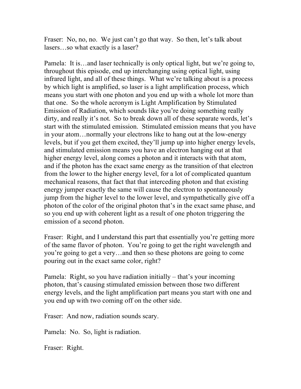Fraser: No, no, no. We just can't go that way. So then, let's talk about lasers…so what exactly is a laser?

Pamela: It is…and laser technically is only optical light, but we're going to, throughout this episode, end up interchanging using optical light, using infrared light, and all of these things. What we're talking about is a process by which light is amplified, so laser is a light amplification process, which means you start with one photon and you end up with a whole lot more than that one. So the whole acronym is Light Amplification by Stimulated Emission of Radiation, which sounds like you're doing something really dirty, and really it's not. So to break down all of these separate words, let's start with the stimulated emission. Stimulated emission means that you have in your atom…normally your electrons like to hang out at the low-energy levels, but if you get them excited, they'll jump up into higher energy levels, and stimulated emission means you have an electron hanging out at that higher energy level, along comes a photon and it interacts with that atom, and if the photon has the exact same energy as the transition of that electron from the lower to the higher energy level, for a lot of complicated quantum mechanical reasons, that fact that that interceding photon and that existing energy jumper exactly the same will cause the electron to spontaneously jump from the higher level to the lower level, and sympathetically give off a photon of the color of the original photon that's in the exact same phase, and so you end up with coherent light as a result of one photon triggering the emission of a second photon.

Fraser: Right, and I understand this part that essentially you're getting more of the same flavor of photon. You're going to get the right wavelength and you're going to get a very…and then so these photons are going to come pouring out in the exact same color, right?

Pamela: Right, so you have radiation initially – that's your incoming photon, that's causing stimulated emission between those two different energy levels, and the light amplification part means you start with one and you end up with two coming off on the other side.

Fraser: And now, radiation sounds scary.

Pamela: No. So, light is radiation.

Fraser: Right.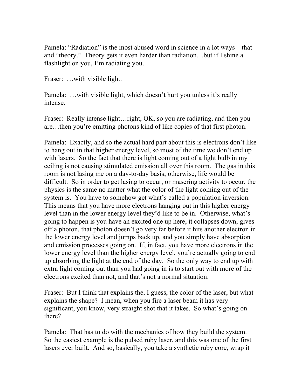Pamela: "Radiation" is the most abused word in science in a lot ways – that and "theory." Theory gets it even harder than radiation…but if I shine a flashlight on you, I'm radiating you.

Fraser: ... with visible light.

Pamela: …with visible light, which doesn't hurt you unless it's really intense.

Fraser: Really intense light... right, OK, so you are radiating, and then you are…then you're emitting photons kind of like copies of that first photon.

Pamela: Exactly, and so the actual hard part about this is electrons don't like to hang out in that higher energy level, so most of the time we don't end up with lasers. So the fact that there is light coming out of a light bulb in my ceiling is not causing stimulated emission all over this room. The gas in this room is not lasing me on a day-to-day basis; otherwise, life would be difficult. So in order to get lasing to occur, or masering activity to occur, the physics is the same no matter what the color of the light coming out of the system is. You have to somehow get what's called a population inversion. This means that you have more electrons hanging out in this higher energy level than in the lower energy level they'd like to be in. Otherwise, what's going to happen is you have an excited one up here, it collapses down, gives off a photon, that photon doesn't go very far before it hits another electron in the lower energy level and jumps back up, and you simply have absorption and emission processes going on. If, in fact, you have more electrons in the lower energy level than the higher energy level, you're actually going to end up absorbing the light at the end of the day. So the only way to end up with extra light coming out than you had going in is to start out with more of the electrons excited than not, and that's not a normal situation.

Fraser: But I think that explains the, I guess, the color of the laser, but what explains the shape? I mean, when you fire a laser beam it has very significant, you know, very straight shot that it takes. So what's going on there?

Pamela: That has to do with the mechanics of how they build the system. So the easiest example is the pulsed ruby laser, and this was one of the first lasers ever built. And so, basically, you take a synthetic ruby core, wrap it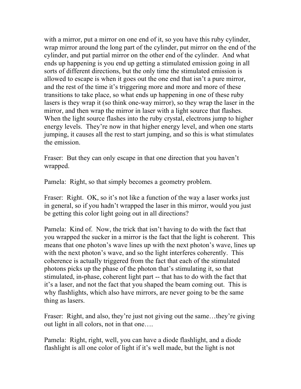with a mirror, put a mirror on one end of it, so you have this ruby cylinder, wrap mirror around the long part of the cylinder, put mirror on the end of the cylinder, and put partial mirror on the other end of the cylinder. And what ends up happening is you end up getting a stimulated emission going in all sorts of different directions, but the only time the stimulated emission is allowed to escape is when it goes out the one end that isn't a pure mirror, and the rest of the time it's triggering more and more and more of these transitions to take place, so what ends up happening in one of these ruby lasers is they wrap it (so think one-way mirror), so they wrap the laser in the mirror, and then wrap the mirror in laser with a light source that flashes. When the light source flashes into the ruby crystal, electrons jump to higher energy levels. They're now in that higher energy level, and when one starts jumping, it causes all the rest to start jumping, and so this is what stimulates the emission.

Fraser: But they can only escape in that one direction that you haven't wrapped.

Pamela: Right, so that simply becomes a geometry problem.

Fraser: Right. OK, so it's not like a function of the way a laser works just in general, so if you hadn't wrapped the laser in this mirror, would you just be getting this color light going out in all directions?

Pamela: Kind of. Now, the trick that isn't having to do with the fact that you wrapped the sucker in a mirror is the fact that the light is coherent. This means that one photon's wave lines up with the next photon's wave, lines up with the next photon's wave, and so the light interferes coherently. This coherence is actually triggered from the fact that each of the stimulated photons picks up the phase of the photon that's stimulating it, so that stimulated, in-phase, coherent light part -- that has to do with the fact that it's a laser, and not the fact that you shaped the beam coming out. This is why flashlights, which also have mirrors, are never going to be the same thing as lasers.

Fraser: Right, and also, they're just not giving out the same...they're giving out light in all colors, not in that one….

Pamela: Right, right, well, you can have a diode flashlight, and a diode flashlight is all one color of light if it's well made, but the light is not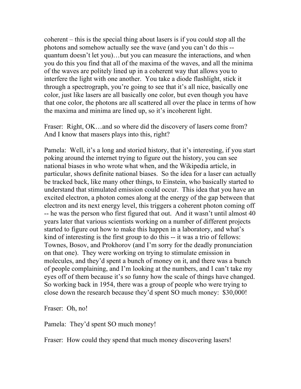coherent – this is the special thing about lasers is if you could stop all the photons and somehow actually see the wave (and you can't do this - quantum doesn't let you)…but you can measure the interactions, and when you do this you find that all of the maxima of the waves, and all the minima of the waves are politely lined up in a coherent way that allows you to interfere the light with one another. You take a diode flashlight, stick it through a spectrograph, you're going to see that it's all nice, basically one color, just like lasers are all basically one color, but even though you have that one color, the photons are all scattered all over the place in terms of how the maxima and minima are lined up, so it's incoherent light.

Fraser: Right, OK...and so where did the discovery of lasers come from? And I know that masers plays into this, right?

Pamela: Well, it's a long and storied history, that it's interesting, if you start poking around the internet trying to figure out the history, you can see national biases in who wrote what when, and the Wikipedia article, in particular, shows definite national biases. So the idea for a laser can actually be tracked back, like many other things, to Einstein, who basically started to understand that stimulated emission could occur. This idea that you have an excited electron, a photon comes along at the energy of the gap between that electron and its next energy level, this triggers a coherent photon coming off -- he was the person who first figured that out. And it wasn't until almost 40 years later that various scientists working on a number of different projects started to figure out how to make this happen in a laboratory, and what's kind of interesting is the first group to do this -- it was a trio of fellows: Townes, Bosov, and Prokhorov (and I'm sorry for the deadly pronunciation on that one). They were working on trying to stimulate emission in molecules, and they'd spent a bunch of money on it, and there was a bunch of people complaining, and I'm looking at the numbers, and I can't take my eyes off of them because it's so funny how the scale of things have changed. So working back in 1954, there was a group of people who were trying to close down the research because they'd spent SO much money: \$30,000!

Fraser: Oh, no!

Pamela: They'd spent SO much money!

Fraser: How could they spend that much money discovering lasers!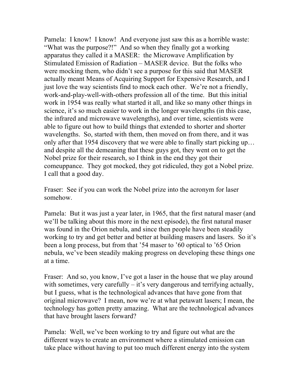Pamela: I know! I know! And everyone just saw this as a horrible waste: "What was the purpose?!" And so when they finally got a working apparatus they called it a MASER: the Microwave Amplification by Stimulated Emission of Radiation – MASER device. But the folks who were mocking them, who didn't see a purpose for this said that MASER actually meant Means of Acquiring Support for Expensive Research, and I just love the way scientists find to mock each other. We're not a friendly, work-and-play-well-with-others profession all of the time. But this initial work in 1954 was really what started it all, and like so many other things in science, it's so much easier to work in the longer wavelengths (in this case, the infrared and microwave wavelengths), and over time, scientists were able to figure out how to build things that extended to shorter and shorter wavelengths. So, started with them, then moved on from there, and it was only after that 1954 discovery that we were able to finally start picking up… and despite all the demeaning that these guys got, they went on to get the Nobel prize for their research, so I think in the end they got their comeuppance. They got mocked, they got ridiculed, they got a Nobel prize. I call that a good day.

Fraser: See if you can work the Nobel prize into the acronym for laser somehow.

Pamela: But it was just a year later, in 1965, that the first natural maser (and we'll be talking about this more in the next episode), the first natural maser was found in the Orion nebula, and since then people have been steadily working to try and get better and better at building masers and lasers. So it's been a long process, but from that '54 maser to '60 optical to '65 Orion nebula, we've been steadily making progress on developing these things one at a time.

Fraser: And so, you know, I've got a laser in the house that we play around with sometimes, very carefully  $-$  it's very dangerous and terrifying actually, but I guess, what is the technological advances that have gone from that original microwave? I mean, now we're at what petawatt lasers; I mean, the technology has gotten pretty amazing. What are the technological advances that have brought lasers forward?

Pamela: Well, we've been working to try and figure out what are the different ways to create an environment where a stimulated emission can take place without having to put too much different energy into the system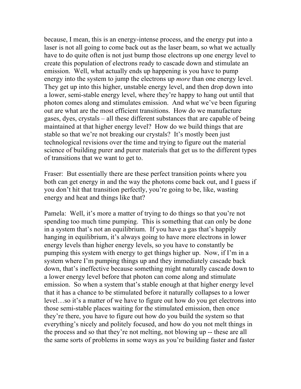because, I mean, this is an energy-intense process, and the energy put into a laser is not all going to come back out as the laser beam, so what we actually have to do quite often is not just bump those electrons up one energy level to create this population of electrons ready to cascade down and stimulate an emission. Well, what actually ends up happening is you have to pump energy into the system to jump the electrons up *more* than one energy level. They get up into this higher, unstable energy level, and then drop down into a lower, semi-stable energy level, where they're happy to hang out until that photon comes along and stimulates emission. And what we've been figuring out are what are the most efficient transitions. How do we manufacture gases, dyes, crystals – all these different substances that are capable of being maintained at that higher energy level? How do we build things that are stable so that we're not breaking our crystals? It's mostly been just technological revisions over the time and trying to figure out the material science of building purer and purer materials that get us to the different types of transitions that we want to get to.

Fraser: But essentially there are these perfect transition points where you both can get energy in and the way the photons come back out, and I guess if you don't hit that transition perfectly, you're going to be, like, wasting energy and heat and things like that?

Pamela: Well, it's more a matter of trying to do things so that you're not spending too much time pumping. This is something that can only be done in a system that's not an equilibrium. If you have a gas that's happily hanging in equilibrium, it's always going to have more electrons in lower energy levels than higher energy levels, so you have to constantly be pumping this system with energy to get things higher up. Now, if I'm in a system where I'm pumping things up and they immediately cascade back down, that's ineffective because something might naturally cascade down to a lower energy level before that photon can come along and stimulate emission. So when a system that's stable enough at that higher energy level that it has a chance to be stimulated before it naturally collapses to a lower level…so it's a matter of we have to figure out how do you get electrons into those semi-stable places waiting for the stimulated emission, then once they're there, you have to figure out how do you build the system so that everything's nicely and politely focused, and how do you not melt things in the process and so that they're not melting, not blowing up -- these are all the same sorts of problems in some ways as you're building faster and faster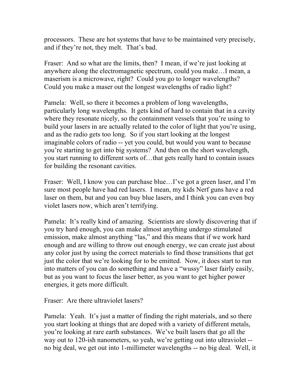processors. These are hot systems that have to be maintained very precisely, and if they're not, they melt. That's bad.

Fraser: And so what are the limits, then? I mean, if we're just looking at anywhere along the electromagnetic spectrum, could you make…I mean, a maserism is a microwave, right? Could you go to longer wavelengths? Could you make a maser out the longest wavelengths of radio light?

Pamela: Well, so there it becomes a problem of long wavelengths, particularly long wavelengths. It gets kind of hard to contain that in a cavity where they resonate nicely, so the containment vessels that you're using to build your lasers in are actually related to the color of light that you're using, and as the radio gets too long. So if you start looking at the longest imaginable colors of radio -- yet you could, but would you want to because you're starting to get into big systems? And then on the short wavelength, you start running to different sorts of…that gets really hard to contain issues for building the resonant cavities.

Fraser: Well, I know you can purchase blue…I've got a green laser, and I'm sure most people have had red lasers. I mean, my kids Nerf guns have a red laser on them, but and you can buy blue lasers, and I think you can even buy violet lasers now, which aren't terrifying.

Pamela: It's really kind of amazing. Scientists are slowly discovering that if you try hard enough, you can make almost anything undergo stimulated emission, make almost anything "las," and this means that if we work hard enough and are willing to throw out enough energy, we can create just about any color just by using the correct materials to find those transitions that get just the color that we're looking for to be emitted. Now, it does start to run into matters of you can do something and have a "wussy" laser fairly easily, but as you want to focus the laser better, as you want to get higher power energies, it gets more difficult.

Fraser: Are there ultraviolet lasers?

Pamela: Yeah. It's just a matter of finding the right materials, and so there you start looking at things that are doped with a variety of different metals, you're looking at rare earth substances. We've built lasers that go all the way out to 120-ish nanometers, so yeah, we're getting out into ultraviolet - no big deal, we get out into 1-millimeter wavelengths -- no big deal. Well, it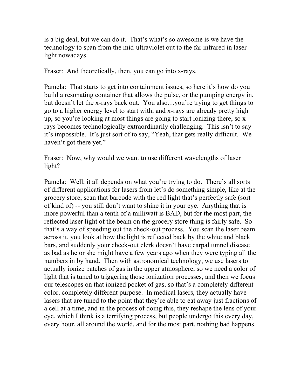is a big deal, but we can do it. That's what's so awesome is we have the technology to span from the mid-ultraviolet out to the far infrared in laser light nowadays.

Fraser: And theoretically, then, you can go into x-rays.

Pamela: That starts to get into containment issues, so here it's how do you build a resonating container that allows the pulse, or the pumping energy in, but doesn't let the x-rays back out. You also…you're trying to get things to go to a higher energy level to start with, and x-rays are already pretty high up, so you're looking at most things are going to start ionizing there, so xrays becomes technologically extraordinarily challenging. This isn't to say it's impossible. It's just sort of to say, "Yeah, that gets really difficult. We haven't got there yet."

Fraser: Now, why would we want to use different wavelengths of laser light?

Pamela: Well, it all depends on what you're trying to do. There's all sorts of different applications for lasers from let's do something simple, like at the grocery store, scan that barcode with the red light that's perfectly safe (sort of kind of) -- you still don't want to shine it in your eye. Anything that is more powerful than a tenth of a milliwatt is BAD, but for the most part, the reflected laser light of the beam on the grocery store thing is fairly safe. So that's a way of speeding out the check-out process. You scan the laser beam across it, you look at how the light is reflected back by the white and black bars, and suddenly your check-out clerk doesn't have carpal tunnel disease as bad as he or she might have a few years ago when they were typing all the numbers in by hand. Then with astronomical technology, we use lasers to actually ionize patches of gas in the upper atmosphere, so we need a color of light that is tuned to triggering those ionization processes, and then we focus our telescopes on that ionized pocket of gas, so that's a completely different color, completely different purpose. In medical lasers, they actually have lasers that are tuned to the point that they're able to eat away just fractions of a cell at a time, and in the process of doing this, they reshape the lens of your eye, which I think is a terrifying process, but people undergo this every day, every hour, all around the world, and for the most part, nothing bad happens.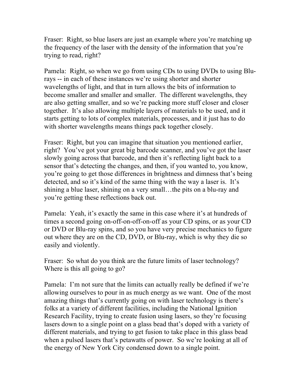Fraser: Right, so blue lasers are just an example where you're matching up the frequency of the laser with the density of the information that you're trying to read, right?

Pamela: Right, so when we go from using CDs to using DVDs to using Blurays -- in each of these instances we're using shorter and shorter wavelengths of light, and that in turn allows the bits of information to become smaller and smaller and smaller. The different wavelengths, they are also getting smaller, and so we're packing more stuff closer and closer together. It's also allowing multiple layers of materials to be used, and it starts getting to lots of complex materials, processes, and it just has to do with shorter wavelengths means things pack together closely.

Fraser: Right, but you can imagine that situation you mentioned earlier, right? You've got your great big barcode scanner, and you've got the laser slowly going across that barcode, and then it's reflecting light back to a sensor that's detecting the changes, and then, if you wanted to, you know, you're going to get those differences in brightness and dimness that's being detected, and so it's kind of the same thing with the way a laser is. It's shining a blue laser, shining on a very small…the pits on a blu-ray and you're getting these reflections back out.

Pamela: Yeah, it's exactly the same in this case where it's at hundreds of times a second going on-off-on-off-on-off as your CD spins, or as your CD or DVD or Blu-ray spins, and so you have very precise mechanics to figure out where they are on the CD, DVD, or Blu-ray, which is why they die so easily and violently.

Fraser: So what do you think are the future limits of laser technology? Where is this all going to go?

Pamela: I'm not sure that the limits can actually really be defined if we're allowing ourselves to pour in as much energy as we want. One of the most amazing things that's currently going on with laser technology is there's folks at a variety of different facilities, including the National Ignition Research Facility, trying to create fusion using lasers, so they're focusing lasers down to a single point on a glass bead that's doped with a variety of different materials, and trying to get fusion to take place in this glass bead when a pulsed lasers that's petawatts of power. So we're looking at all of the energy of New York City condensed down to a single point.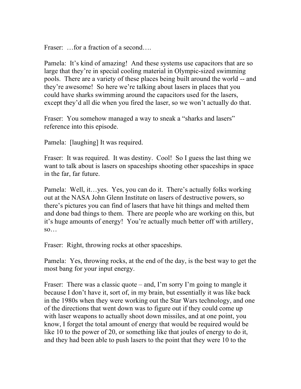Fraser: ... for a fraction of a second....

Pamela: It's kind of amazing! And these systems use capacitors that are so large that they're in special cooling material in Olympic-sized swimming pools. There are a variety of these places being built around the world -- and they're awesome! So here we're talking about lasers in places that you could have sharks swimming around the capacitors used for the lasers, except they'd all die when you fired the laser, so we won't actually do that.

Fraser: You somehow managed a way to sneak a "sharks and lasers" reference into this episode.

Pamela: [laughing] It was required.

Fraser: It was required. It was destiny. Cool! So I guess the last thing we want to talk about is lasers on spaceships shooting other spaceships in space in the far, far future.

Pamela: Well, it…yes. Yes, you can do it. There's actually folks working out at the NASA John Glenn Institute on lasers of destructive powers, so there's pictures you can find of lasers that have hit things and melted them and done bad things to them. There are people who are working on this, but it's huge amounts of energy! You're actually much better off with artillery,  $SO...$ 

Fraser: Right, throwing rocks at other spaceships.

Pamela: Yes, throwing rocks, at the end of the day, is the best way to get the most bang for your input energy.

Fraser: There was a classic quote – and, I'm sorry I'm going to mangle it because I don't have it, sort of, in my brain, but essentially it was like back in the 1980s when they were working out the Star Wars technology, and one of the directions that went down was to figure out if they could come up with laser weapons to actually shoot down missiles, and at one point, you know, I forget the total amount of energy that would be required would be like 10 to the power of 20, or something like that joules of energy to do it, and they had been able to push lasers to the point that they were 10 to the